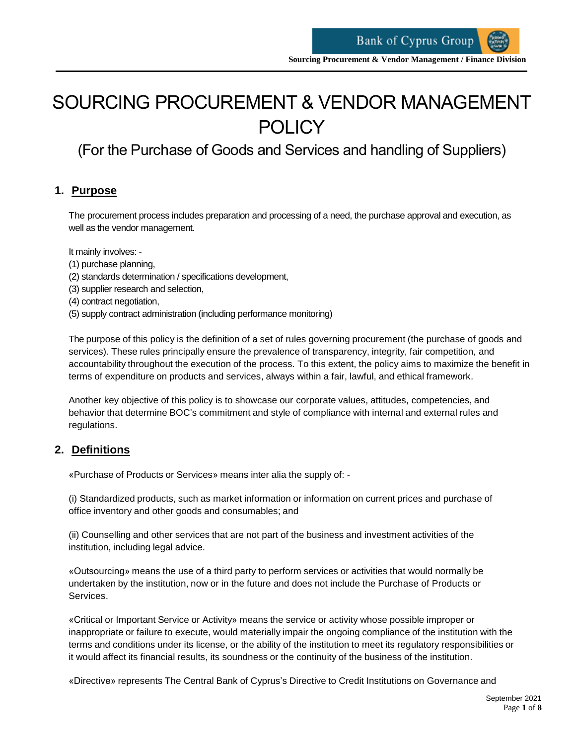# SOURCING PROCUREMENT & VENDOR MANAGEMENT **POLICY**

(For the Purchase of Goods and Services and handling of Suppliers)

## **1. Purpose**

The procurement process includes preparation and processing of a need, the purchase approval and execution, as well as the vendor management.

It mainly involves: -

- (1) purchase planning,
- (2) standards determination / specifications development,
- (3) supplier research and selection,
- (4) contract negotiation,
- (5) supply contract administration (including performance monitoring)

The purpose of this policy is the definition of a set of rules governing procurement (the purchase of goods and services). These rules principally ensure the prevalence of transparency, integrity, fair competition, and accountability throughout the execution of the process. To this extent, the policy aims to maximize the benefit in terms of expenditure on products and services, always within a fair, lawful, and ethical framework.

Another key objective of this policy is to showcase our corporate values, attitudes, competencies, and behavior that determine BOC's commitment and style of compliance with internal and external rules and regulations.

## **2. Definitions**

«Purchase of Products or Services» means inter alia the supply of: -

(i) Standardized products, such as market information or information on current prices and purchase of office inventory and other goods and consumables; and

(ii) Counselling and other services that are not part of the business and investment activities of the institution, including legal advice.

«Outsourcing» means the use of a third party to perform services or activities that would normally be undertaken by the institution, now or in the future and does not include the Purchase of Products or Services.

«Critical or Important Service or Activity» means the service or activity whose possible improper or inappropriate or failure to execute, would materially impair the ongoing compliance of the institution with the terms and conditions under its license, or the ability of the institution to meet its regulatory responsibilities or it would affect its financial results, its soundness or the continuity of the business of the institution.

«Directive» represents The Central Bank of Cyprus's Directive to Credit Institutions on Governance and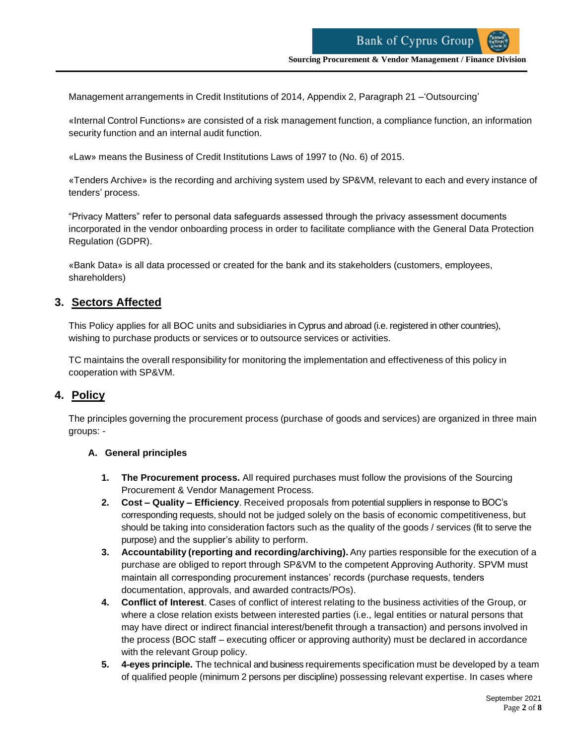Management arrangements in Credit Institutions of 2014, Appendix 2, Paragraph 21 –'Outsourcing'

«Internal Control Functions» are consisted of a risk management function, a compliance function, an information security function and an internal audit function.

«Law» means the Business of Credit Institutions Laws of 1997 to (No. 6) of 2015.

«Tenders Archive» is the recording and archiving system used by SP&VM, relevant to each and every instance of tenders' process.

"Privacy Matters" refer to personal data safeguards assessed through the privacy assessment documents incorporated in the vendor onboarding process in order to facilitate compliance with the General Data Protection Regulation (GDPR).

«Bank Data» is all data processed or created for the bank and its stakeholders (customers, employees, shareholders)

## **3. Sectors Affected**

This Policy applies for all BOC units and subsidiaries in Cyprus and abroad (i.e. registered in other countries), wishing to purchase products or services or to outsource services or activities.

TC maintains the overall responsibility for monitoring the implementation and effectiveness of this policy in cooperation with SP&VM.

## **4. Policy**

The principles governing the procurement process (purchase of goods and services) are organized in three main groups: -

#### **A. General principles**

- **1. The Procurement process.** All required purchases must follow the provisions of the Sourcing Procurement & Vendor Management Process.
- **2. Cost – Quality – Efficiency**. Received proposals from potential suppliers in response to BOC's corresponding requests, should not be judged solely on the basis of economic competitiveness, but should be taking into consideration factors such as the quality of the goods / services (fit to serve the purpose) and the supplier's ability to perform.
- **3. Accountability (reporting and recording/archiving).** Any parties responsible for the execution of a purchase are obliged to report through SP&VM to the competent Approving Authority. SPVM must maintain all corresponding procurement instances' records (purchase requests, tenders documentation, approvals, and awarded contracts/POs).
- **4. Conflict of Interest**. Cases of conflict of interest relating to the business activities of the Group, or where a close relation exists between interested parties (i.e., legal entities or natural persons that may have direct or indirect financial interest/benefit through a transaction) and persons involved in the process (BOC staff – executing officer or approving authority) must be declared in accordance with the relevant Group policy.
- **5. 4-eyes principle.** The technical and business requirements specification must be developed by a team of qualified people (minimum 2 persons per discipline) possessing relevant expertise. In cases where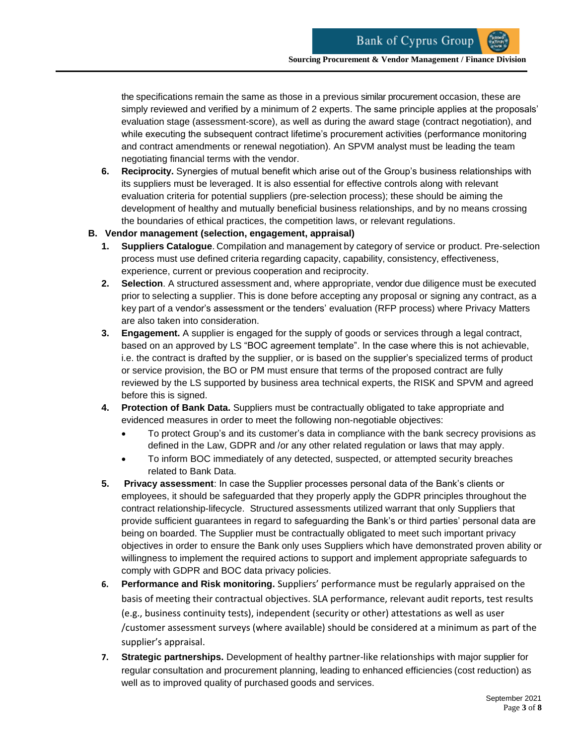the specifications remain the same as those in a previous similar procurement occasion, these are simply reviewed and verified by a minimum of 2 experts. The same principle applies at the proposals' evaluation stage (assessment-score), as well as during the award stage (contract negotiation), and while executing the subsequent contract lifetime's procurement activities (performance monitoring and contract amendments or renewal negotiation). An SPVM analyst must be leading the team negotiating financial terms with the vendor.

**6. Reciprocity.** Synergies of mutual benefit which arise out of the Group's business relationships with its suppliers must be leveraged. It is also essential for effective controls along with relevant evaluation criteria for potential suppliers (pre-selection process); these should be aiming the development of healthy and mutually beneficial business relationships, and by no means crossing the boundaries of ethical practices, the competition laws, or relevant regulations.

## **B. Vendor management (selection, engagement, appraisal)**

- **1. Suppliers Catalogue**. Compilation and management by category of service or product. Pre-selection process must use defined criteria regarding capacity, capability, consistency, effectiveness, experience, current or previous cooperation and reciprocity.
- **2. Selection**. A structured assessment and, where appropriate, vendor due diligence must be executed prior to selecting a supplier. This is done before accepting any proposal or signing any contract, as a key part of a vendor's assessment or the tenders' evaluation (RFP process) where Privacy Matters are also taken into consideration.
- **3. Engagement.** A supplier is engaged for the supply of goods or services through a legal contract, based on an approved by LS "BOC agreement template". In the case where this is not achievable, i.e. the contract is drafted by the supplier, or is based on the supplier's specialized terms of product or service provision, the BO or PM must ensure that terms of the proposed contract are fully reviewed by the LS supported by business area technical experts, the RISK and SPVM and agreed before this is signed.
- **4. Protection of Bank Data.** Suppliers must be contractually obligated to take appropriate and evidenced measures in order to meet the following non-negotiable objectives:
	- To protect Group's and its customer's data in compliance with the bank secrecy provisions as defined in the Law, GDPR and /or any other related regulation or laws that may apply.
	- To inform BOC immediately of any detected, suspected, or attempted security breaches related to Bank Data.
- **5. Privacy assessment**: In case the Supplier processes personal data of the Bank's clients or employees, it should be safeguarded that they properly apply the GDPR principles throughout the contract relationship-lifecycle. Structured assessments utilized warrant that only Suppliers that provide sufficient guarantees in regard to safeguarding the Bank's or third parties' personal data are being on boarded. The Supplier must be contractually obligated to meet such important privacy objectives in order to ensure the Bank only uses Suppliers which have demonstrated proven ability or willingness to implement the required actions to support and implement appropriate safeguards to comply with GDPR and BOC data privacy policies.
- **6. Performance and Risk monitoring.** Suppliers' performance must be regularly appraised on the basis of meeting their contractual objectives. SLA performance, relevant audit reports, test results (e.g., business continuity tests), independent (security or other) attestations as well as user /customer assessment surveys (where available) should be considered at a minimum as part of the supplier's appraisal.
- **7. Strategic partnerships.** Development of healthy partner-like relationships with major supplier for regular consultation and procurement planning, leading to enhanced efficiencies (cost reduction) as well as to improved quality of purchased goods and services.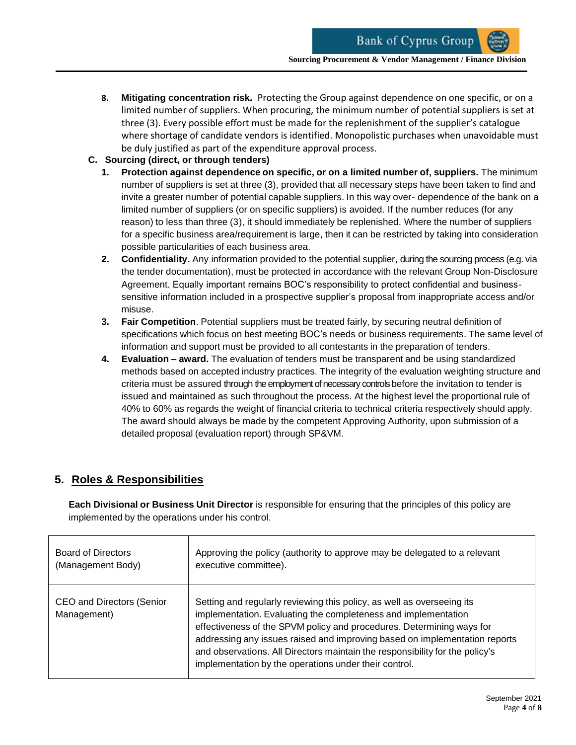- **8. Mitigating concentration risk.** Protecting the Group against dependence on one specific, or on a limited number of suppliers. When procuring, the minimum number of potential suppliers is set at three (3). Every possible effort must be made for the replenishment of the supplier's catalogue where shortage of candidate vendors is identified. Monopolistic purchases when unavoidable must be duly justified as part of the expenditure approval process.
- **C. Sourcing (direct, or through tenders)**
	- **1. Protection against dependence on specific, or on a limited number of, suppliers.** The minimum number of suppliers is set at three (3), provided that all necessary steps have been taken to find and invite a greater number of potential capable suppliers. In this way over- dependence of the bank on a limited number of suppliers (or on specific suppliers) is avoided. If the number reduces (for any reason) to less than three (3), it should immediately be replenished. Where the number of suppliers for a specific business area/requirement is large, then it can be restricted by taking into consideration possible particularities of each business area.
	- **2. Confidentiality.** Any information provided to the potential supplier, during the sourcing process (e.g. via the tender documentation), must be protected in accordance with the relevant Group Non-Disclosure Agreement. Equally important remains BOC's responsibility to protect confidential and businesssensitive information included in a prospective supplier's proposal from inappropriate access and/or misuse.
	- **3. Fair Competition**. Potential suppliers must be treated fairly, by securing neutral definition of specifications which focus on best meeting BOC's needs or business requirements. The same level of information and support must be provided to all contestants in the preparation of tenders.
	- **4. Evaluation – award.** The evaluation of tenders must be transparent and be using standardized methods based on accepted industry practices. The integrity of the evaluation weighting structure and criteria must be assured through the employment of necessary controls before the invitation to tender is issued and maintained as such throughout the process. At the highest level the proportional rule of 40% to 60% as regards the weight of financial criteria to technical criteria respectively should apply. The award should always be made by the competent Approving Authority, upon submission of a detailed proposal (evaluation report) through SP&VM.

# **5. Roles & Responsibilities**

**Each Divisional or Business Unit Director** is responsible for ensuring that the principles of this policy are implemented by the operations under his control.

| Board of Directors                              | Approving the policy (authority to approve may be delegated to a relevant                                                                                                                                                                                                                                                                                                                                                                |
|-------------------------------------------------|------------------------------------------------------------------------------------------------------------------------------------------------------------------------------------------------------------------------------------------------------------------------------------------------------------------------------------------------------------------------------------------------------------------------------------------|
| (Management Body)                               | executive committee).                                                                                                                                                                                                                                                                                                                                                                                                                    |
| <b>CEO and Directors (Senior</b><br>Management) | Setting and regularly reviewing this policy, as well as overseeing its<br>implementation. Evaluating the completeness and implementation<br>effectiveness of the SPVM policy and procedures. Determining ways for<br>addressing any issues raised and improving based on implementation reports<br>and observations. All Directors maintain the responsibility for the policy's<br>implementation by the operations under their control. |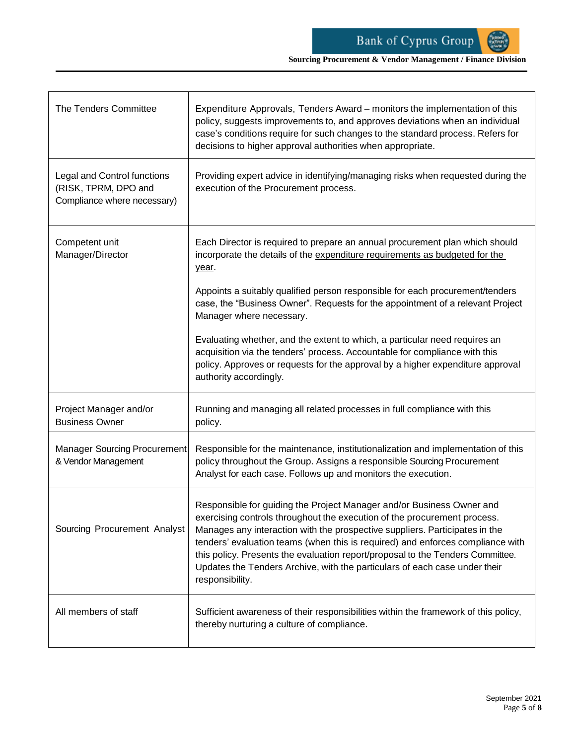**Sourcing Procurement & Vendor Management / Finance Division**

| The Tenders Committee                                                                     | Expenditure Approvals, Tenders Award – monitors the implementation of this<br>policy, suggests improvements to, and approves deviations when an individual<br>case's conditions require for such changes to the standard process. Refers for<br>decisions to higher approval authorities when appropriate.                                                                                                                                                                                            |
|-------------------------------------------------------------------------------------------|-------------------------------------------------------------------------------------------------------------------------------------------------------------------------------------------------------------------------------------------------------------------------------------------------------------------------------------------------------------------------------------------------------------------------------------------------------------------------------------------------------|
| <b>Legal and Control functions</b><br>(RISK, TPRM, DPO and<br>Compliance where necessary) | Providing expert advice in identifying/managing risks when requested during the<br>execution of the Procurement process.                                                                                                                                                                                                                                                                                                                                                                              |
| Competent unit<br>Manager/Director                                                        | Each Director is required to prepare an annual procurement plan which should<br>incorporate the details of the expenditure requirements as budgeted for the<br>year.                                                                                                                                                                                                                                                                                                                                  |
|                                                                                           | Appoints a suitably qualified person responsible for each procurement/tenders<br>case, the "Business Owner". Requests for the appointment of a relevant Project<br>Manager where necessary.                                                                                                                                                                                                                                                                                                           |
|                                                                                           | Evaluating whether, and the extent to which, a particular need requires an<br>acquisition via the tenders' process. Accountable for compliance with this<br>policy. Approves or requests for the approval by a higher expenditure approval<br>authority accordingly.                                                                                                                                                                                                                                  |
| Project Manager and/or<br><b>Business Owner</b>                                           | Running and managing all related processes in full compliance with this<br>policy.                                                                                                                                                                                                                                                                                                                                                                                                                    |
| <b>Manager Sourcing Procurement</b><br>& Vendor Management                                | Responsible for the maintenance, institutionalization and implementation of this<br>policy throughout the Group. Assigns a responsible Sourcing Procurement<br>Analyst for each case. Follows up and monitors the execution.                                                                                                                                                                                                                                                                          |
| Sourcing Procurement Analyst                                                              | Responsible for guiding the Project Manager and/or Business Owner and<br>exercising controls throughout the execution of the procurement process.<br>Manages any interaction with the prospective suppliers. Participates in the<br>tenders' evaluation teams (when this is required) and enforces compliance with<br>this policy. Presents the evaluation report/proposal to the Tenders Committee.<br>Updates the Tenders Archive, with the particulars of each case under their<br>responsibility. |
| All members of staff                                                                      | Sufficient awareness of their responsibilities within the framework of this policy,<br>thereby nurturing a culture of compliance.                                                                                                                                                                                                                                                                                                                                                                     |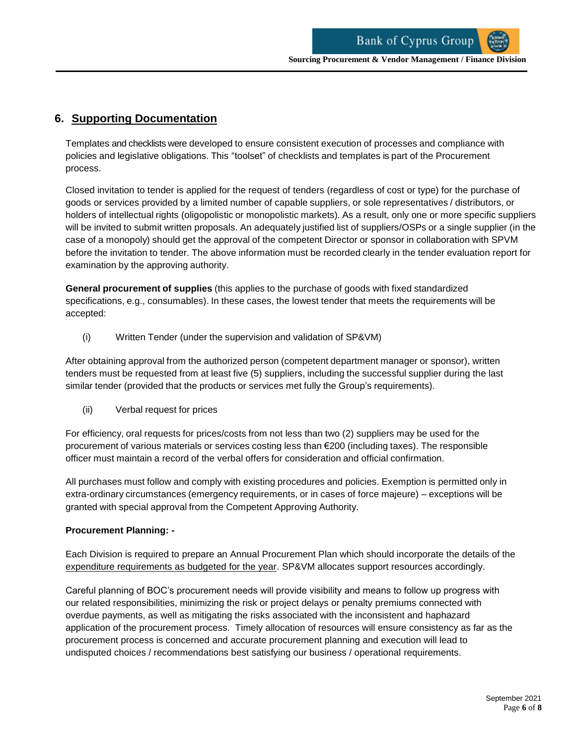# **6. Supporting Documentation**

Templates and checklists were developed to ensure consistent execution of processes and compliance with policies and legislative obligations. This "toolset" of checklists and templates is part of the Procurement process.

Closed invitation to tender is applied for the request of tenders (regardless of cost or type) for the purchase of goods or services provided by a limited number of capable suppliers, or sole representatives / distributors, or holders of intellectual rights (oligopolistic or monopolistic markets). As a result, only one or more specific suppliers will be invited to submit written proposals. An adequately justified list of suppliers/OSPs or a single supplier (in the case of a monopoly) should get the approval of the competent Director or sponsor in collaboration with SPVM before the invitation to tender. The above information must be recorded clearly in the tender evaluation report for examination by the approving authority.

**General procurement of supplies** (this applies to the purchase of goods with fixed standardized specifications, e.g., consumables). In these cases, the lowest tender that meets the requirements will be accepted:

(i) Written Tender (under the supervision and validation of SP&VM)

After obtaining approval from the authorized person (competent department manager or sponsor), written tenders must be requested from at least five (5) suppliers, including the successful supplier during the last similar tender (provided that the products or services met fully the Group's requirements).

(ii) Verbal request for prices

For efficiency, oral requests for prices/costs from not less than two (2) suppliers may be used for the procurement of various materials or services costing less than €200 (including taxes). The responsible officer must maintain a record of the verbal offers for consideration and official confirmation.

All purchases must follow and comply with existing procedures and policies. Exemption is permitted only in extra-ordinary circumstances (emergency requirements, or in cases of force majeure) – exceptions will be granted with special approval from the Competent Approving Authority.

## **Procurement Planning: -**

Each Division is required to prepare an Annual Procurement Plan which should incorporate the details of the expenditure requirements as budgeted for the year. SP&VM allocates support resources accordingly.

Careful planning of BOC's procurement needs will provide visibility and means to follow up progress with our related responsibilities, minimizing the risk or project delays or penalty premiums connected with overdue payments, as well as mitigating the risks associated with the inconsistent and haphazard application of the procurement process. Timely allocation of resources will ensure consistency as far as the procurement process is concerned and accurate procurement planning and execution will lead to undisputed choices / recommendations best satisfying our business / operational requirements.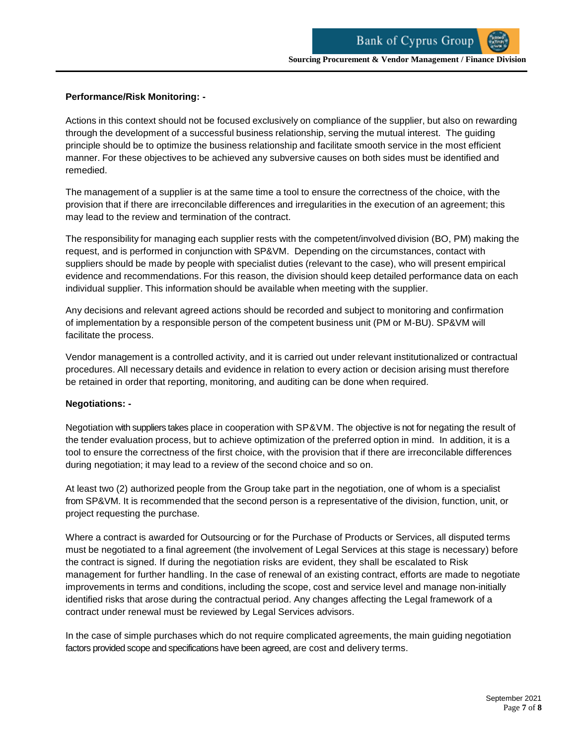#### **Performance/Risk Monitoring: -**

Actions in this context should not be focused exclusively on compliance of the supplier, but also on rewarding through the development of a successful business relationship, serving the mutual interest. The guiding principle should be to optimize the business relationship and facilitate smooth service in the most efficient manner. For these objectives to be achieved any subversive causes on both sides must be identified and remedied.

The management of a supplier is at the same time a tool to ensure the correctness of the choice, with the provision that if there are irreconcilable differences and irregularities in the execution of an agreement; this may lead to the review and termination of the contract.

The responsibility for managing each supplier rests with the competent/involved division (BO, PM) making the request, and is performed in conjunction with SP&VM. Depending on the circumstances, contact with suppliers should be made by people with specialist duties (relevant to the case), who will present empirical evidence and recommendations. For this reason, the division should keep detailed performance data on each individual supplier. This information should be available when meeting with the supplier.

Any decisions and relevant agreed actions should be recorded and subject to monitoring and confirmation of implementation by a responsible person of the competent business unit (PM or M-BU). SP&VM will facilitate the process.

Vendor management is a controlled activity, and it is carried out under relevant institutionalized or contractual procedures. All necessary details and evidence in relation to every action or decision arising must therefore be retained in order that reporting, monitoring, and auditing can be done when required.

#### **Negotiations: -**

Negotiation with suppliers takes place in cooperation with SP&VM. The objective is not for negating the result of the tender evaluation process, but to achieve optimization of the preferred option in mind. In addition, it is a tool to ensure the correctness of the first choice, with the provision that if there are irreconcilable differences during negotiation; it may lead to a review of the second choice and so on.

At least two (2) authorized people from the Group take part in the negotiation, one of whom is a specialist from SP&VM. It is recommended that the second person is a representative of the division, function, unit, or project requesting the purchase.

Where a contract is awarded for Outsourcing or for the Purchase of Products or Services, all disputed terms must be negotiated to a final agreement (the involvement of Legal Services at this stage is necessary) before the contract is signed. If during the negotiation risks are evident, they shall be escalated to Risk management for further handling. In the case of renewal of an existing contract, efforts are made to negotiate improvements in terms and conditions, including the scope, cost and service level and manage non-initially identified risks that arose during the contractual period. Any changes affecting the Legal framework of a contract under renewal must be reviewed by Legal Services advisors.

In the case of simple purchases which do not require complicated agreements, the main guiding negotiation factors provided scope and specifications have been agreed, are cost and delivery terms.